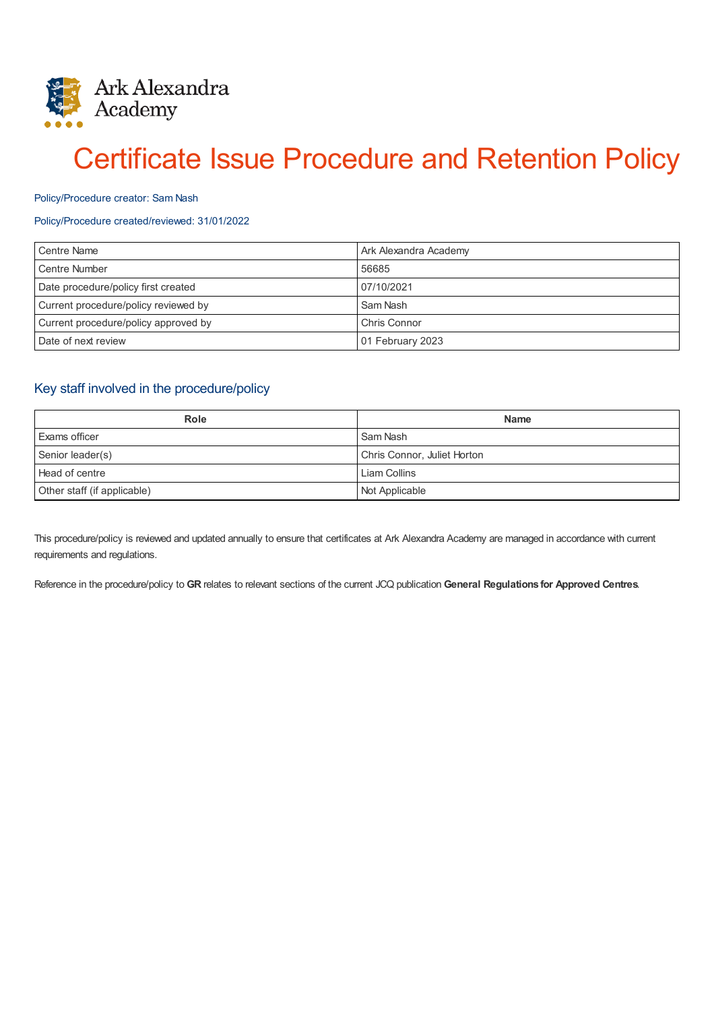

# Certificate Issue Procedure and Retention Policy

#### Policy/Procedure creator: Sam Nash

#### Policy/Procedure created/reviewed: 31/01/2022

| Centre Name                          | Ark Alexandra Academy |
|--------------------------------------|-----------------------|
| Centre Number                        | 56685                 |
| Date procedure/policy first created  | 07/10/2021            |
| Current procedure/policy reviewed by | Sam Nash              |
| Current procedure/policy approved by | Chris Connor          |
| Date of next review                  | 01 February 2023      |

## Key staff involved in the procedure/policy

| <b>Role</b>                 | <b>Name</b>                 |
|-----------------------------|-----------------------------|
| <b>Exams officer</b>        | Sam Nash                    |
| Senior leader(s)            | Chris Connor, Juliet Horton |
| Head of centre              | Liam Collins                |
| Other staff (if applicable) | Not Applicable              |

This procedure/policy is reviewed and updated annually to ensure that certificates at Ark Alexandra Academy are managed in accordance with current requirements and regulations.

Reference in the procedure/policy to **GR** relates to relevant sections of the current JCQ publication **General Regulations for Approved Centres**.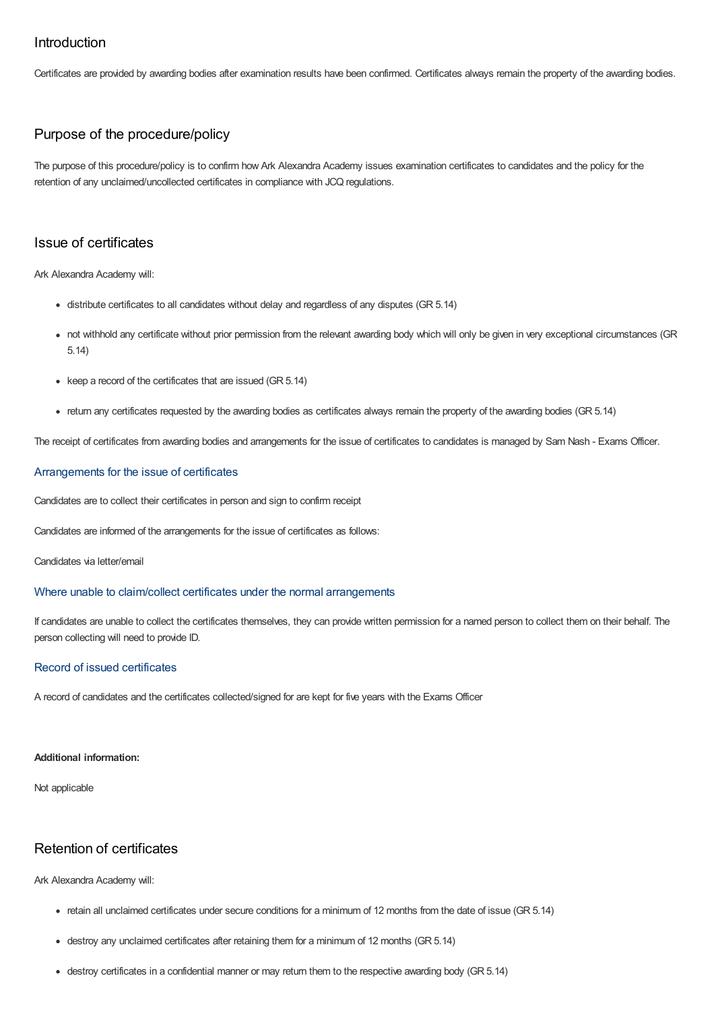## Introduction

Certificates are provided by awarding bodies after examination results have been confirmed. Certificates always remain the property of the awarding bodies.

## Purpose of the procedure/policy

The purpose of this procedure/policy is to confirm how Ark Alexandra Academy issues examination certificates to candidates and the policy for the retention of any unclaimed/uncollected certificates in compliance with JCQ regulations.

## Issue of certificates

Ark Alexandra Academy will:

- distribute certificates to all candidates without delay and regardless of any disputes (GR 5.14)
- not withhold any certificate without prior permission from the relevant awarding body which will only be given in very exceptional circumstances (GR 5.14)
- $\bullet$  keep a record of the certificates that are issued (GR 5.14)
- return any certificates requested by the awarding bodies as certificates always remain the property of the awarding bodies (GR 5.14)

The receipt of certificates from awarding bodies and arrangements for the issue of certificates to candidates is managed by Sam Nash - Exams Officer.

#### Arrangements for the issue of certificates

Candidates are to collect their certificates in person and sign to confirm receipt

Candidates are informed of the arrangements for the issue of certificates as follows:

Candidates via letter/email

#### Where unable to claim/collect certificates under the normal arrangements

If candidates are unable to collect the certificates themselves, they can provide written permission for a named person to collect them on their behalf. The person collecting will need to provide ID.

#### Record of issued certificates

A record of candidates and the certificates collected/signed for are kept for five years with the Exams Officer

#### **Additional information:**

Not applicable

# Retention of certificates

Ark Alexandra Academy will:

- retain all unclaimed certificates under secure conditions for a minimum of 12 months from the date of issue (GR 5.14)
- destroy any unclaimed certificates after retaining them for a minimum of 12 months (GR 5.14)
- destroy certificates in a confidential manner or may return them to the respective awarding body (GR 5.14)